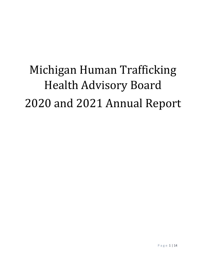# Michigan Human Trafficking Health Advisory Board 2020 and 2021 Annual Report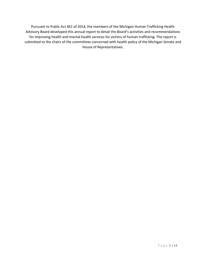Pursuant to Public Act 461 of 2014, the members of the Michigan Human Trafficking Health Advisory Board developed this annual report to detail the Board's activities and recommendations for improving health and mental health services for victims of human trafficking. The report is submitted to the chairs of the committees concerned with health policy of the Michigan Senate and House of Representatives.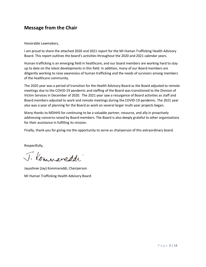## **Message from the Chair**

#### Honorable Lawmakers,

I am proud to share the attached 2020 and 2021 report for the MI Human Trafficking Health Advisory Board. This report outlines the board's activities throughout the 2020 and 2021 calendar years.

Human trafficking is an emerging field in healthcare, and our board members are working hard to stay up to date on the latest developments in this field. In addition, many of our Board members are diligently working to raise awareness of human trafficking and the needs of survivors among members of the healthcare community.

The 2020 year was a period of transition for the Health Advisory Board as the Board adjusted to remote meetings due to the COVID-19 pandemic and staffing of the Board was transitioned to the Division of Victim Services in December of 2020. The 2021 year saw a resurgence of Board activities as staff and Board members adjusted to work and remote meetings during the COVID-19 pandemic. The 2021 year also was a year of planning for the Board as work on several larger multi-year projects began.

Many thanks to MDHHS for continuing to be a valuable partner, resource, and ally in proactively addressing concerns raised by Board members. The Board is also deeply grateful to other organizations for their assistance in fulfilling its mission.

Finally, thank you for giving me the opportunity to serve as chairperson of this extraordinary board.

Respectfully,

J. Kommaneddi

Jayashree (Jay) Kommareddi, Chairperson MI Human Trafficking Health Advisory Board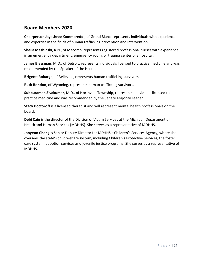## **Board Members 2020**

**Chairperson Jayashree Kommareddi**, of Grand Blanc, represents individuals with experience and expertise in the fields of human trafficking prevention and intervention.

**Sheila Meshinski**, R.N., of Macomb, represents registered professional nurses with experience in an emergency department, emergency room, or trauma center of a hospital.

**James Blessman**, M.D., of Detroit, represents individuals licensed to practice medicine and was recommended by the Speaker of the House.

**Brigette Robarge**, of Belleville, represents human trafficking survivors.

**Ruth Rondon**, of Wyoming, represents human trafficking survivors.

**Subburaman Sivakumar**, M.D., of Northville Township, represents individuals licensed to practice medicine and was recommended by the Senate Majority Leader.

**Stacy Doctoroff** is a licensed therapist and will represent mental health professionals on the board.

**Debi Cain** is the director of the Division of Victim Services at the Michigan Department of Health and Human Services (MDHHS). She serves as a representative of MDHHS.

**Jooyeun Chang** is Senior Deputy Director for MDHHS's Children's Services Agency, where she oversees the state's child welfare system, including Children's Protective Services, the foster care system, adoption services and juvenile justice programs. She serves as a representative of MDHHS.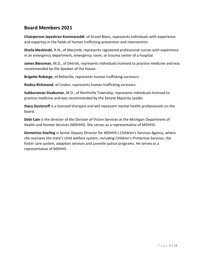## **Board Members 2021**

**Chairperson Jayashree Kommareddi**, of Grand Blanc, represents individuals with experience and expertise in the fields of human trafficking prevention and intervention.

**Sheila Meshinski**, R.N., of Macomb, represents registered professional nurses with experience in an emergency department, emergency room, or trauma center of a hospital.

**James Blessman**, M.D., of Detroit, represents individuals licensed to practice medicine and was recommended by the Speaker of the House.

**Brigette Robarge**, of Belleville, represents human trafficking survivors.

**Rodica Richmond**, of Linden, represents human trafficking survivors.

**Subburaman Sivakumar**, M.D., of Northville Township, represents individuals licensed to practice medicine and was recommended by the Senate Majority Leader.

**Stacy Doctoroff** is a licensed therapist and will represent mental health professionals on the board.

**Debi Cain** is the director of the Division of Victim Services at the Michigan Department of Health and Human Services (MDHHS). She serves as a representative of MDHHS.

**Demetrius Starling** is Senior Deputy Director for MDHHS's Children's Services Agency, where she oversees the state's child welfare system, including Children's Protective Services, the foster care system, adoption services and juvenile justice programs. He serves as a representative of MDHHS.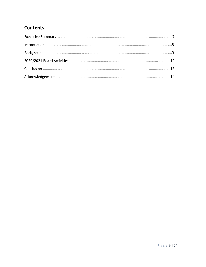# **Contents**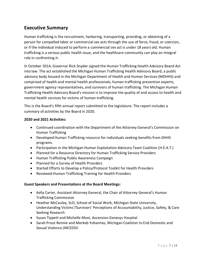## **Executive Summary**

Human trafficking is the recruitment, harboring, transporting, providing, or obtaining of a person for compelled labor or commercial sex acts through the use of force, fraud, or coercion, or if the individual induced to perform a commercial sex act is under 18 years old. Human trafficking is a serious public health issue, and the healthcare community can play an integral role in confronting it.

In October 2014, Governor Rick Snyder signed the Human Trafficking Health Advisory Board Act into law. The act established the Michigan Human Trafficking Health Advisory Board, a public advisory body housed in the Michigan Department of Health and Human Services (MDHHS) and comprised of health and mental health professionals, human trafficking prevention experts, government agency representatives, and survivors of human trafficking. The Michigan Human Trafficking Health Advisory Board's mission is to improve the quality of and access to health and mental health services for victims of human trafficking.

This is the Board's fifth annual report submitted to the legislature. The report includes a summary of activities by the Board in 2020.

#### **2020 and 2021 Activities:**

- Continued coordination with the Department of the Attorney General's Commission on Human Trafficking
- Developed Human Trafficking resource for individuals seeking benefits from DHHS programs.
- Participation in the Michigan Human Exploitation Advisory Team Coalition (H.E.A.T.)
- Planned for a Resource Directory for Human Trafficking Service Providers
- Human Trafficking Public Awareness Campaign
- Planned for a Survey of Health Providers
- Started Efforts to Develop a Policy/Protocol Toolkit for Health Providers
- Reviewed Human Trafficking Training for Health Providers

#### **Guest Speakers and Presentations at the Board Meetings:**

- Kelly Carter, Assistant Attorney General, the Chair of Attorney General's Human Trafficking Commission
- Heather McCauley, ScD, School of Social Work, Michigan State University, Understanding Victims'/Survivors' Perceptions of Accountability, Justice, Safety, & Care Seeking Research
- Susan Tippett and Michelle Most, Ascension Genesys Hospital
- Sarah Prout Rennie and Merkeb Yohannes, Michigan Coalition to End Domestic and Sexual Violence (MCEDSV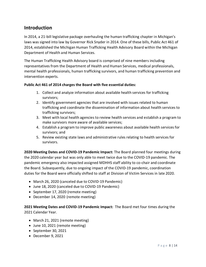## **Introduction**

In 2014, a 21-bill legislative package overhauling the human trafficking chapter in Michigan's laws was signed into law by Governor Rick Snyder in 2014. One of these bills, Public Act 461 of 2014, established the Michigan Human Trafficking Health Advisory Board within the Michigan Department of Health and Human Services.

The Human Trafficking Health Advisory board is comprised of nine members including representatives from the Department of Health and Human Services, medical professionals, mental health professionals, human trafficking survivors, and human trafficking prevention and intervention experts.

#### **Public Act 461 of 2014 charges the Board with five essential duties:**

- 1. Collect and analyze information about available health services for trafficking survivors;
- 2. Identify government agencies that are involved with issues related to human trafficking and coordinate the dissemination of information about health services to trafficking survivors;
- 3. Meet with local health agencies to review health services and establish a program to make survivors more aware of available services;
- 4. Establish a program to improve public awareness about available health services for survivors; and
- 5. Review existing state laws and administrative rules relating to health services for survivors.

**2020 Meeting Dates and COVID-19 Pandemic Impact:** The Board planned four meetings during the 2020 calendar year but was only able to meet twice due to the COVID-19 pandemic. The pandemic emergency also impacted assigned MDHHS staff ability to co-chair and coordinate the Board. Subsequently, due to ongoing impact of the COVID-19 pandemic, coordination duties for the Board were officially shifted to staff at Division of Victim Services in late 2020.

- March 26, 2020 (canceled due to COVID-19 Pandemic)
- June 18, 2020 (canceled due to COVID-19 Pandemic)
- September 17, 2020 (remote meeting)
- December 14, 2020 (remote meeting)

**2021 Meeting Dates and COVID-19 Pandemic Impact:** The Board met four times during the 2021 Calendar Year.

- March 21, 2021 (remote meeting)
- June 10, 2021 (remote meeting)
- September 30, 2021
- December 9, 2021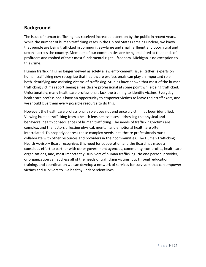## **Background**

The issue of human trafficking has received increased attention by the public in recent years. While the number of human trafficking cases in the United States remains unclear, we know that people are being trafficked in communities—large and small, affluent and poor, rural and urban—across the country. Members of our communities are being exploited at the hands of profiteers and robbed of their most fundamental right—freedom. Michigan is no exception to this crime.

Human trafficking is no longer viewed as solely a law enforcement issue. Rather, experts on human trafficking now recognize that healthcare professionals can play an important role in both identifying and assisting victims of trafficking. Studies have shown that most of the human trafficking victims report seeing a healthcare professional at some point while being trafficked. Unfortunately, many healthcare professionals lack the training to identify victims. Everyday healthcare professionals have an opportunity to empower victims to leave their traffickers, and we should give them every possible resource to do this.

However, the healthcare professional's role does not end once a victim has been identified. Viewing human trafficking from a health lens necessitates addressing the physical and behavioral health consequences of human trafficking. The needs of trafficking victims are complex, and the factors affecting physical, mental, and emotional health are often interrelated. To properly address these complex needs, healthcare professionals must collaborate with other resources and providers in their communities. The Human Trafficking Health Advisory Board recognizes this need for cooperation and the Board has made a conscious effort to partner with other government agencies, community non-profits, healthcare organizations, and, most importantly, survivors of human trafficking. No one person, provider, or organization can address all of the needs of trafficking victims, but through education, training, and coordination we can develop a network of services for survivors that can empower victims and survivors to live healthy, independent lives.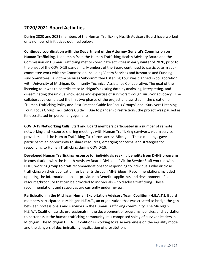## **2020/2021 Board Activities**

During 2020 and 2021 members of the Human Trafficking Health Advisory Board have worked on a number of initiatives outlined below:

**Continued coordination with the Department of the Attorney General's Commission on Human Trafficking**. Leadership from the Human Trafficking Health Advisory Board and the Commission on Human Trafficking met to coordinate activities in early winter of 2020, prior to the onset of the COVID-19 pandemic. Members of the Board continued to participate in subcommittee work with the Commission including Victim Services and Resource and Funding subcommittees. A Victim Services Subcommittee Listening Tour was planned in collaboration with University of Michigan, Community Technical Assistance Collaborative. The goal of the listening tour was to contribute to Michigan's existing data by analyzing, interpreting, and disseminating the unique knowledge and expertise of survivors through survivor advocacy. The collaborative completed the first two phases of the project and assisted in the creation of "Human Trafficking Policy and Best Practice Guide for Focus Groups" and "Survivors Listening Tour: Focus Group Facilitators Guide". Due to pandemic restrictions, the project was paused as it necessitated in- person engagements.

**COVID-19 Networking Calls.** Staff and Board members participated in a number of remote networking and resource sharing meetings with Human Trafficking survivors, victim service providers, and the Human Trafficking Taskforces across Michigan. These meetings gave participants an opportunity to share resources, emerging concerns, and strategies for responding to Human Trafficking during COVID-19.

**Developed Human Trafficking resource for individuals seeking benefits from DHHS programs.** In consultation with the Health Advisory Board, Division of Victim Service Staff worked with DHHS working group to draft recommendations for responding to individuals who disclose trafficking on their application for benefits through MI-Bridges. Recommendations included updating the information booklet provided to Benefits applicants and development of a resource/brochure that can be provided to individuals who disclose trafficking. These recommendations and resources are currently under review.

**Participation in the Michigan Human Exploitation Advisory Team Coalition (H.E.A.T.).** Board members participated in Michigan H.E.A.T., an organization that was created to bridge the gap between professionals and survivors in the Human Trafficking community. The Michigan H.E.A.T. Coalition assists professionals in the development of programs, policies, and legislation to better assist the human trafficking community. It is comprised solely of survivor leaders in Michigan. The Michigan H.E.A.T. Coalition is working to raise awareness on the equality model and the dangers of decriminalizing legalization of prostitution.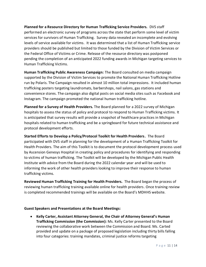**Planned for a Resource Directory for Human Trafficking Service Providers.** DVS staff performed an electronic survey of programs across the state that perform some level of victim services for survivors of Human Trafficking. Survey data revealed an incomplete and evolving levels of service available for victims. It was determined that a list of Human Trafficking service providers should be published but limited to those funded by the Division of Victim Services or the Federal Office of Victims or Crime. Release of the resource directory was postponed pending the completion of an anticipated 2022 funding awards in Michigan targeting services to Human Trafficking Victims.

**Human Trafficking Public Awareness Campaign:** The Board consulted on media campaign supported by the Division of Victim Services to promote the National Human Trafficking Hotline run by Polaris. The Campaign resulted in almost 10 million total impressions. It included human trafficking posters targeting laundromats, barbershops, nail salons, gas stations and convenience stores. The campaign also digital posts on social media sites such as Facebook and Instagram. The campaign promoted the national human trafficking hotline.

**Planned for a Survey of Health Providers.** The Board planned for a 2022 survey of Michigan hospitals to assess the status of policy and protocol to respond to Human Trafficking victims. It is anticipated that survey results will provide a snapshot of healthcare practices in Michigan hospitals related to human trafficking and be a springboard for future technical assistance and protocol development efforts.

**Started Efforts to Develop a Policy/Protocol Toolkit for Health Providers.** The Board participated with DVS staff in planning for the development of a Human Trafficking Toolkit for Health Providers. The aim of this Toolkit is to document the protocol development process used by Ascension Genesys Hospital in creating policy and procedures for identifying and responding to victims of human trafficking. The Toolkit will be developed by the Michigan Public Health Institute with advice from the Board during the 2022 calendar year and will be used to informing the work of other health providers looking to improve their response to human trafficking victims.

**Reviewed Human Trafficking Training for Health Providers.** The Board began the process of reviewing human trafficking training available online for health providers. Once training review is completed recommended trainings will be available on the Board's MDHHS website.

#### **Guest Speakers and Presentations at the Board Meetings:**

• **Kelly Carter, Assistant Attorney General, the Chair of Attorney General's Human Trafficking Commission (the Commission):** Ms. Kelly Carter presented to the Board reviewing the collaborative work between the Commission and Board. Ms. Carted provided and update on a package of proposed legislation including thirty bills falling into four categories: training mandates, criminal justice reforms targeting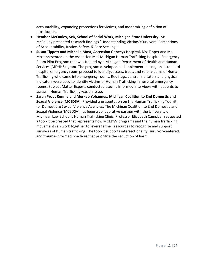accountability, expanding protections for victims, and modernizing definition of prostitution.

- **Heather McCauley, ScD, School of Social Work, Michigan State University.** Ms. McCauley presented research findings "Understanding Victims'/Survivors' Perceptions of Accountability, Justice, Safety, & Care Seeking."
- **Susan Tippett and Michelle Most, Ascension Genesys Hospital.** Ms. Tippet and Ms. Most presented on the Ascension Mid-Michigan Human Trafficking Hospital Emergency Room Pilot Program that was funded by a Michigan Department of Health and Human Services (MDHHS) grant. The program developed and implemented a regional standard hospital emergency room protocol to identify, assess, treat, and refer victims of Human Trafficking who came into emergency rooms. Red flags, control indicators and physical indicators were used to identify victims of Human Trafficking in hospital emergency rooms. Subject Matter Experts conducted trauma informed interviews with patients to assess if Human Trafficking was an issue.
- **Sarah Prout Rennie and Merkeb Yohannes, Michigan Coalition to End Domestic and Sexual Violence (MCEDSV).** Provided a presentation on the Human Trafficking Toolkit for Domestic & Sexual Violence Agencies. The Michigan Coalition to End Domestic and Sexual Violence (MCEDSV) has been a collaborative partner with the University of Michigan Law School's Human Trafficking Clinic. Professor Elizabeth Campbell requested a toolkit be created that represents how MCEDSV programs and the human trafficking movement can work together to leverage their resources to recognize and support survivors of human trafficking. The toolkit supports intersectionality, survivor-centered, and trauma-informed practices that prioritize the reduction of harm.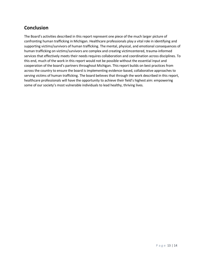# **Conclusion**

The Board's activities described in this report represent one piece of the much larger picture of confronting human trafficking in Michigan. Healthcare professionals play a vital role in identifying and supporting victims/survivors of human trafficking. The mental, physical, and emotional consequences of human trafficking on victims/survivors are complex and creating victimcentered, trauma-informed services that effectively meets their needs requires collaboration and coordination across disciplines. To this end, much of the work in this report would not be possible without the essential input and cooperation of the board's partners throughout Michigan. This report builds on best practices from across the country to ensure the board is implementing evidence-based, collaborative approaches to serving victims of human trafficking. The board believes that through the work described in this report, healthcare professionals will have the opportunity to achieve their field's highest aim: empowering some of our society's most vulnerable individuals to lead healthy, thriving lives.